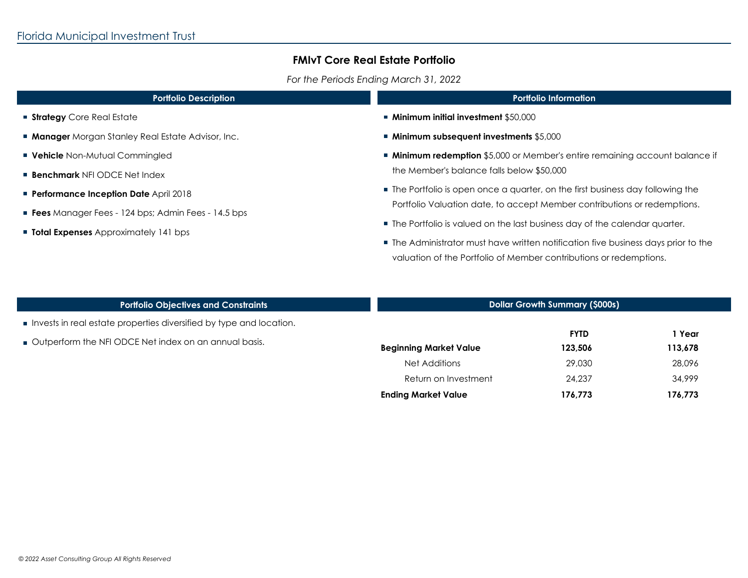I

### **FMIvT Core Real Estate Portfolio**

*For the Periods Ending March 31, 2022*

| <b>Portfolio Description</b>                              | <b>Portfolio Information</b>                                                                                                                             |  |
|-----------------------------------------------------------|----------------------------------------------------------------------------------------------------------------------------------------------------------|--|
| <b>Strategy</b> Core Real Estate                          | $\blacksquare$ Minimum initial investment \$50,000                                                                                                       |  |
| <b>Manager</b> Morgan Stanley Real Estate Advisor, Inc.   | ■ Minimum subsequent investments \$5,000                                                                                                                 |  |
| <b>Vehicle</b> Non-Mutual Commingled                      | <b>Minimum redemption</b> \$5,000 or Member's entire remaining account balance if                                                                        |  |
| <b>Benchmark NFI ODCE Net Index</b>                       | the Member's balance falls below \$50,000                                                                                                                |  |
| <b>Performance Inception Date April 2018</b>              | • The Portfolio is open once a quarter, on the first business day following the                                                                          |  |
| <b>Fees</b> Manager Fees - 124 bps; Admin Fees - 14.5 bps | Portfolio Valuation date, to accept Member contributions or redemptions.                                                                                 |  |
| <b>Total Expenses</b> Approximately 141 bps               | ■ The Portfolio is valued on the last business day of the calendar quarter.                                                                              |  |
|                                                           | • The Administrator must have written notification five business days prior to the<br>valuation of the Portfolio of Member contributions or redemptions. |  |

| <b>Portfolio Objectives and Constraints</b>                         |                               | <b>Dollar Growth Summary (\$000s)</b> |         |  |
|---------------------------------------------------------------------|-------------------------------|---------------------------------------|---------|--|
| Invests in real estate properties diversified by type and location. |                               |                                       |         |  |
| Outperform the NFI ODCE Net index on an annual basis.               |                               | <b>FYTD</b>                           | 1 Year  |  |
|                                                                     | <b>Beginning Market Value</b> | 123,506                               | 113,678 |  |
|                                                                     | Net Additions                 | 29,030                                | 28,096  |  |
|                                                                     | Return on Investment          | 24,237                                | 34,999  |  |
|                                                                     | <b>Ending Market Value</b>    | 176,773                               | 176,773 |  |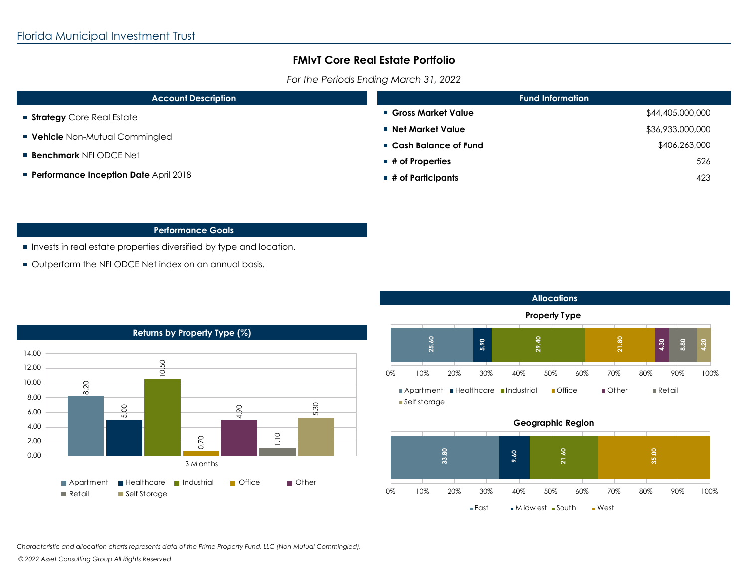### **FMIvT Core Real Estate Portfolio**

*For the Periods Ending March 31, 2022*

| <b>Account Description</b>                                            | <b>Fund Information</b>          |                  |
|-----------------------------------------------------------------------|----------------------------------|------------------|
| Strategy Core Real Estate                                             | ■ Gross Market Value             | \$44,405,000,000 |
| <b>Vehicle</b> Non-Mutual Commingled<br><b>Benchmark NFI ODCE Net</b> | ■ Net Market Value               | \$36,933,000,000 |
|                                                                       | ■ Cash Balance of Fund           | \$406,263,000    |
|                                                                       | $\blacksquare$ # of Properties   | 526              |
| <b>Performance Inception Date April 2018</b>                          | $\blacksquare$ # of Participants | 423              |

### **Performance Goals**

- **Invests in real estate properties diversified by type and location.**
- Outperform the NFI ODCE Net index on an annual basis.





#### ■East Midwest South West

*Characteristic and allocation charts represents data of the Prime Property Fund, LLC (Non-Mutual Commingled).*

 *© 2022 Asset Consulting Group All Rights Reserved*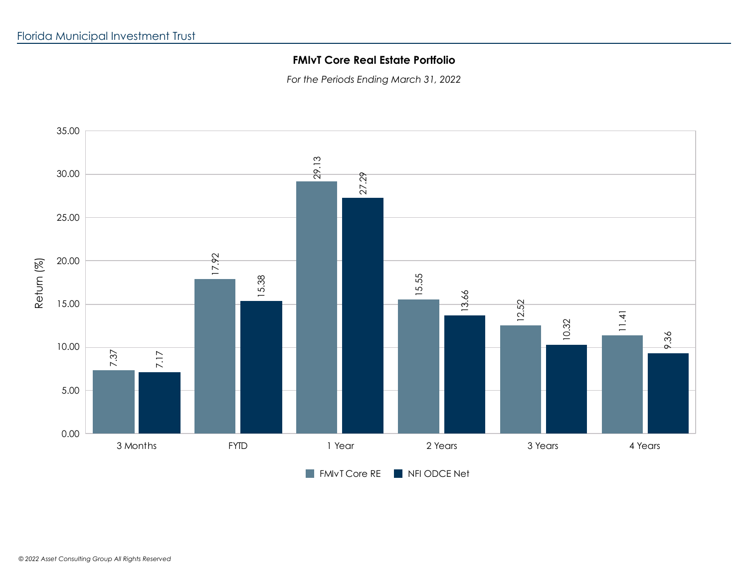# **FMIvT Core Real Estate Portfolio**

*For the Periods Ending March 31, 2022*



 *© 2022 Asset Consulting Group All Rights Reserved*